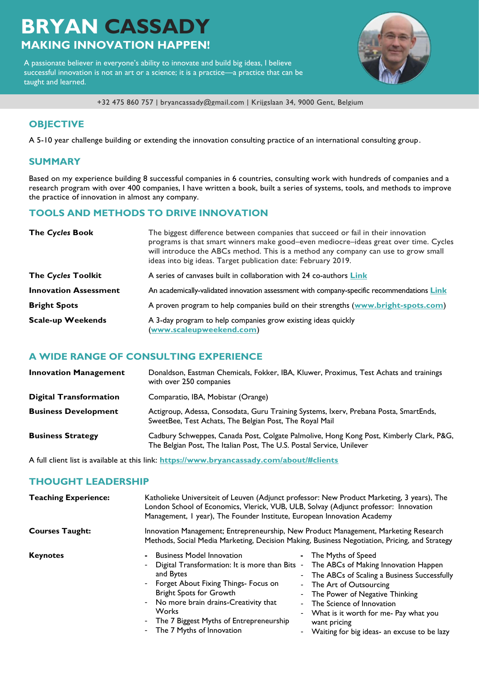# **BRYAN CASSADY MAKING INNOVATION HAPPEN!**

A passionate believer in everyone's ability to innovate and build big ideas, I believe successful innovation is not an art or a science; it is a practice—a practice that can be taught and learned.



+32 475 860 757 | bryancassady@gmail.com | Krijgslaan 34, 9000 Gent, Belgium

# **OBJECTIVE**

A 5-10 year challenge building or extending the innovation consulting practice of an international consulting group.

## **SUMMARY**

Based on my experience building 8 successful companies in 6 countries, consulting work with hundreds of companies and a research program with over 400 companies, I have written a book, built a series of systems, tools, and methods to improve the practice of innovation in almost any company.

# **TOOLS AND METHODS TO DRIVE INNOVATION**

| <b>The Cycles Book</b>       | The biggest difference between companies that succeed or fail in their innovation<br>programs is that smart winners make good-even mediocre-ideas great over time. Cycles<br>will introduce the ABCs method. This is a method any company can use to grow small<br>ideas into big ideas. Target publication date: February 2019. |  |
|------------------------------|----------------------------------------------------------------------------------------------------------------------------------------------------------------------------------------------------------------------------------------------------------------------------------------------------------------------------------|--|
| <b>The Cycles Toolkit</b>    | A series of canvases built in collaboration with 24 co-authors Link                                                                                                                                                                                                                                                              |  |
| <b>Innovation Assessment</b> | An academically-validated innovation assessment with company-specific recommendations <b>Link</b>                                                                                                                                                                                                                                |  |
| <b>Bright Spots</b>          | A proven program to help companies build on their strengths (www.bright-spots.com)                                                                                                                                                                                                                                               |  |
| <b>Scale-up Weekends</b>     | A 3-day program to help companies grow existing ideas quickly<br>(www.scaleupweekend.com)                                                                                                                                                                                                                                        |  |

# **A WIDE RANGE OF CONSULTING EXPERIENCE**

| <b>Innovation Management</b>  | Donaldson, Eastman Chemicals, Fokker, IBA, Kluwer, Proximus, Test Achats and trainings<br>with over 250 companies                                                |  |
|-------------------------------|------------------------------------------------------------------------------------------------------------------------------------------------------------------|--|
| <b>Digital Transformation</b> | Comparatio, IBA, Mobistar (Orange)                                                                                                                               |  |
| <b>Business Development</b>   | Actigroup, Adessa, Consodata, Guru Training Systems, Ixerv, Prebana Posta, SmartEnds,<br>SweetBee, Test Achats, The Belgian Post, The Royal Mail                 |  |
| <b>Business Strategy</b>      | Cadbury Schweppes, Canada Post, Colgate Palmolive, Hong Kong Post, Kimberly Clark, P&G,<br>The Belgian Post, The Italian Post, The U.S. Postal Service, Unilever |  |

A full client list is available at this link: **https://www.bryancassady.com/about/#clients**

# **THOUGHT LEADERSHIP**

| <b>Teaching Experience:</b> | Katholieke Universiteit of Leuven (Adjunct professor: New Product Marketing, 3 years), The<br>London School of Economics, Vlerick, VUB, ULB, Solvay (Adjunct professor: Innovation<br>Management, I year), The Founder Institute, European Innovation Academy                                                 |                                                                                                                                                                                                                                                                                                                        |  |
|-----------------------------|---------------------------------------------------------------------------------------------------------------------------------------------------------------------------------------------------------------------------------------------------------------------------------------------------------------|------------------------------------------------------------------------------------------------------------------------------------------------------------------------------------------------------------------------------------------------------------------------------------------------------------------------|--|
| <b>Courses Taught:</b>      | Innovation Management; Entrepreneurship, New Product Management, Marketing Research<br>Methods, Social Media Marketing, Decision Making, Business Negotiation, Pricing, and Strategy                                                                                                                          |                                                                                                                                                                                                                                                                                                                        |  |
| <b>Keynotes</b>             | <b>Business Model Innovation</b><br>Digital Transformation: It is more than Bits -<br>and Bytes<br>- Forget About Fixing Things- Focus on<br><b>Bright Spots for Growth</b><br>- No more brain drains-Creativity that<br><b>Works</b><br>The 7 Biggest Myths of Entrepreneurship<br>The 7 Myths of Innovation | - The Myths of Speed<br>The ABCs of Making Innovation Happen<br>The ABCs of Scaling a Business Successfully<br>- The Art of Outsourcing<br>- The Power of Negative Thinking<br>- The Science of Innovation<br>- What is it worth for me- Pay what you<br>want pricing<br>- Waiting for big ideas- an excuse to be lazy |  |